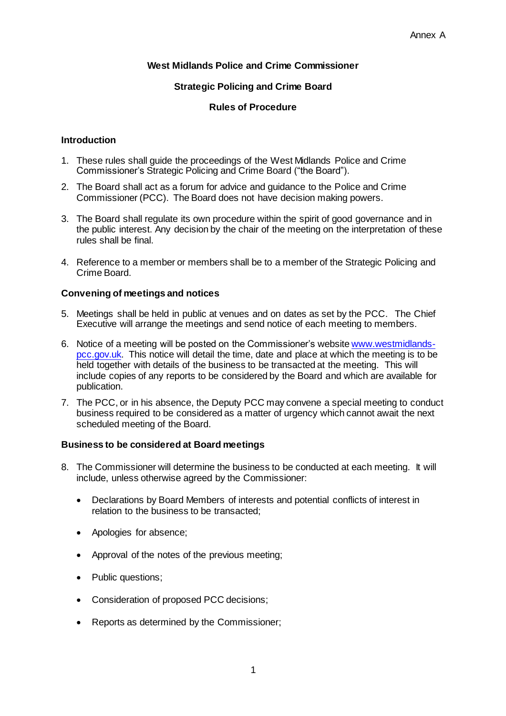## **West Midlands Police and Crime Commissioner**

### **Strategic Policing and Crime Board**

#### **Rules of Procedure**

#### **Introduction**

- 1. These rules shall guide the proceedings of the West Midlands Police and Crime Commissioner's Strategic Policing and Crime Board ("the Board").
- 2. The Board shall act as a forum for advice and guidance to the Police and Crime Commissioner (PCC). The Board does not have decision making powers.
- 3. The Board shall regulate its own procedure within the spirit of good governance and in the public interest. Any decision by the chair of the meeting on the interpretation of these rules shall be final.
- 4. Reference to a member or members shall be to a member of the Strategic Policing and Crime Board.

#### **Convening of meetings and notices**

- 5. Meetings shall be held in public at venues and on dates as set by the PCC. The Chief Executive will arrange the meetings and send notice of each meeting to members.
- 6. Notice of a meeting will be posted on the Commissioner's website [www.westmidlands](http://www.westmidlands-pcc.gov.uk/)[pcc.gov.uk.](http://www.westmidlands-pcc.gov.uk/) This notice will detail the time, date and place at which the meeting is to be held together with details of the business to be transacted at the meeting. This will include copies of any reports to be considered by the Board and which are available for publication.
- 7. The PCC, or in his absence, the Deputy PCC may convene a special meeting to conduct business required to be considered as a matter of urgency which cannot await the next scheduled meeting of the Board.

#### **Business to be considered at Board meetings**

- 8. The Commissioner will determine the business to be conducted at each meeting. It will include, unless otherwise agreed by the Commissioner:
	- Declarations by Board Members of interests and potential conflicts of interest in relation to the business to be transacted;
	- Apologies for absence;
	- Approval of the notes of the previous meeting;
	- Public questions;
	- Consideration of proposed PCC decisions;
	- Reports as determined by the Commissioner;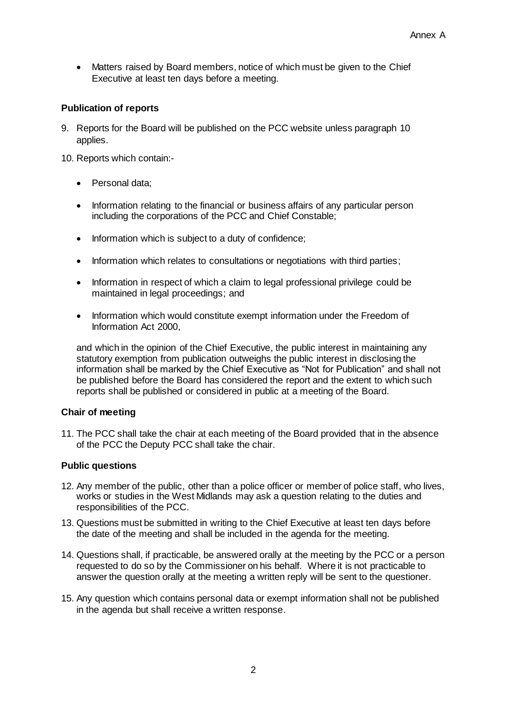• Matters raised by Board members, notice of which must be given to the Chief Executive at least ten days before a meeting.

## **Publication of reports**

9. Reports for the Board will be published on the PCC website unless paragraph 10 applies.

10. Reports which contain:-

- Personal data:
- Information relating to the financial or business affairs of any particular person including the corporations of the PCC and Chief Constable;
- Information which is subject to a duty of confidence;
- Information which relates to consultations or negotiations with third parties:
- Information in respect of which a claim to legal professional privilege could be maintained in legal proceedings; and
- Information which would constitute exempt information under the Freedom of Information Act 2000,

and which in the opinion of the Chief Executive, the public interest in maintaining any statutory exemption from publication outweighs the public interest in disclosing the information shall be marked by the Chief Executive as "Not for Publication" and shall not be published before the Board has considered the report and the extent to which such reports shall be published or considered in public at a meeting of the Board.

### **Chair of meeting**

11. The PCC shall take the chair at each meeting of the Board provided that in the absence of the PCC the Deputy PCC shall take the chair.

### **Public questions**

- 12. Any member of the public, other than a police officer or member of police staff, who lives, works or studies in the West Midlands may ask a question relating to the duties and responsibilities of the PCC.
- 13. Questions must be submitted in writing to the Chief Executive at least ten days before the date of the meeting and shall be included in the agenda for the meeting.
- 14. Questions shall, if practicable, be answered orally at the meeting by the PCC or a person requested to do so by the Commissioner on his behalf. Where it is not practicable to answer the question orally at the meeting a written reply will be sent to the questioner.
- 15. Any question which contains personal data or exempt information shall not be published in the agenda but shall receive a written response.